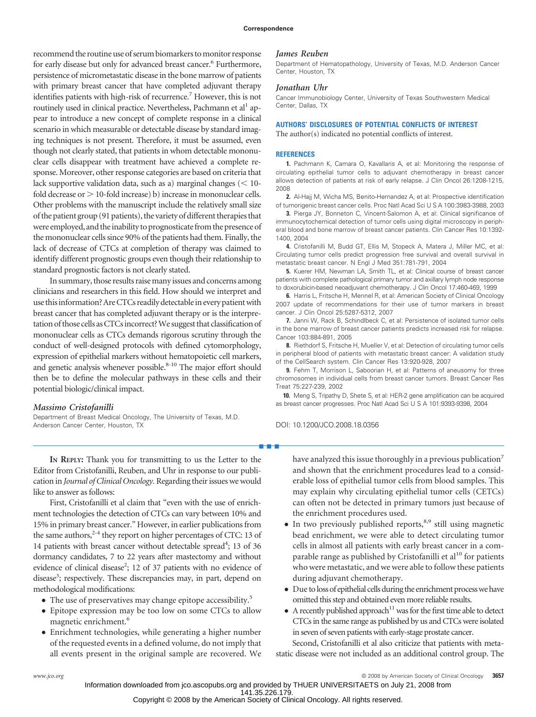recommend the routine use of serum biomarkers to monitor response for early disease but only for advanced breast cancer.<sup>6</sup> Furthermore, persistence of micrometastatic disease in the bone marrow of patients with primary breast cancer that have completed adjuvant therapy identifies patients with high-risk of recurrence.<sup>7</sup> However, this is not routinely used in clinical practice. Nevertheless, Pachmann et al<sup>1</sup> appear to introduce a new concept of complete response in a clinical scenario in which measurable or detectable disease by standard imaging techniques is not present. Therefore, it must be assumed, even though not clearly stated, that patients in whom detectable mononuclear cells disappear with treatment have achieved a complete response. Moreover, other response categories are based on criteria that lack supportive validation data, such as a) marginal changes  $(< 10$ fold decrease or  $> 10$ -fold increase) b) increase in mononuclear cells. Other problems with the manuscript include the relatively small size of the patient group (91 patients), the variety of different therapies that were employed, and the inability to prognosticate from the presence of the mononuclear cells since 90% of the patients had them. Finally, the lack of decrease of CTCs at completion of therapy was claimed to identify different prognostic groups even though their relationship to standard prognostic factors is not clearly stated.

In summary, those results raise many issues and concerns among clinicians and researchers in this field. How should we interpret and use this information? Are CTCs readily detectable in every patient with breast cancer that has completed adjuvant therapy or is the interpretation of those cells as CTCs incorrect? We suggest that classification of mononuclear cells as CTCs demands rigorous scrutiny through the conduct of well-designed protocols with defined cytomorphology, expression of epithelial markers without hematopoietic cell markers, and genetic analysis whenever possible.<sup>8-10</sup> The major effort should then be to define the molecular pathways in these cells and their potential biologic/clinical impact.

# *Massimo Cristofanilli*

Department of Breast Medical Oncology, The University of Texas, M.D. Anderson Cancer Center, Houston, TX

## *James Reuben*

Department of Hematopathology, University of Texas, M.D. Anderson Cancer Center, Houston, TX

## *Jonathan Uhr*

Cancer Immunobiology Center, University of Texas Southwestern Medical Center, Dallas, TX

# **AUTHORS' DISCLOSURES OF POTENTIAL CONFLICTS OF INTEREST**

The author(s) indicated no potential conflicts of interest.

#### **REFERENCES**

**1.** Pachmann K, Camara O, Kavallaris A, et al: Monitoring the response of circulating epithelial tumor cells to adjuvant chemotherapy in breast cancer allows detection of patients at risk of early relapse. J Clin Oncol 26:1208-1215, 2008

**2.** Al-Hajj M, Wicha MS, Benito-Hernandez A, et al: Prospective identification of tumorigenic breast cancer cells. Proc Natl Acad SciUSA 100:3983-3988, 2003

**3.** Pierga JY, Bonneton C, Vincent-Salomon A, et al: Clinical significance of immunocytochemical detection of tumor cells using digital microscopy in peripheral blood and bone marrow of breast cancer patients. Clin Cancer Res 10:1392- 1400, 2004

**4.** Cristofanilli M, Budd GT, Ellis M, Stopeck A, Matera J, Miller MC, et al: Circulating tumor cells predict progression free survival and overall survival in metastatic breast cancer. N Engl J Med 351:781-791, 2004

**5.** Kuerer HM, Newman LA, Smith TL, et al: Clinical course of breast cancer patients with complete pathological primary tumor and axillary lymph node response to doxorubicin-based neoadjuvant chemotherapy. J Clin Oncol 17:460-469, 1999

**6.** Harris L, Fritsche H, Mennel R, et al: American Society of Clinical Oncology 2007 update of recommendations for their use of tumor markers in breast cancer. J Clin Oncol 25:5287-5312, 2007

**7.** Janni W, Rack B, Schindlbeck C, et al: Persistence of isolated tumor cells in the bone marrow of breast cancer patients predicts increased risk for relapse. Cancer 103:884-891, 2005

**8.** Riethdorf S, Fritsche H, Mueller V, et al: Detection of circulating tumor cells in peripheral blood of patients with metastatic breast cancer: A validation study of the CellSearch system. Clin Cancer Res 13:920-928, 2007

**9.** Fehm T, Morrison L, Saboorian H, et al: Patterns of aneusomy for three chromosomes in individual cells from breast cancer tumors. Breast Cancer Res Treat 75:227-239, 2002

**10.** Meng S, Tripathy D, Shete S, et al: HER-2 gene amplification can be acquired as breast cancer progresses. Proc Natl Acad Sci U S A 101:9393-9398, 2004

DOI: 10.1200/JCO.2008.18.0356

**IN REPLY:** Thank you for transmitting to us the Letter to the Editor from Cristofanilli, Reuben, and Uhr in response to our publication in *Journal of Clinical Oncology.*Regarding their issues we would like to answer as follows:

First, Cristofanilli et al claim that "even with the use of enrichment technologies the detection of CTCs can vary between 10% and 15% in primary breast cancer." However, in earlier publications from the same authors,<sup>2-4</sup> they report on higher percentages of CTC: 13 of 14 patients with breast cancer without detectable spread<sup>4</sup>; 13 of 36 dormancy candidates, 7 to 22 years after mastectomy and without evidence of clinical disease<sup>2</sup>; 12 of 37 patients with no evidence of disease<sup>3</sup>; respectively. These discrepancies may, in part, depend on methodological modifications:

- $\bullet$  The use of preservatives may change epitope accessibility.<sup>5</sup>
- Epitope expression may be too low on some CTCs to allow magnetic enrichment.6
- Enrichment technologies, while generating a higher number of the requested events in a defined volume, do not imply that all events present in the original sample are recovered. We

have analyzed this issue thoroughly in a previous publication<sup>7</sup> and shown that the enrichment procedures lead to a considerable loss of epithelial tumor cells from blood samples. This may explain why circulating epithelial tumor cells (CETCs) can often not be detected in primary tumors just because of the enrichment procedures used.

- $\bullet$  In two previously published reports,<sup>8,9</sup> still using magnetic bead enrichment, we were able to detect circulating tumor cells in almost all patients with early breast cancer in a comparable range as published by Cristofanilli et al<sup>10</sup> for patients who were metastatic, and we were able to follow these patients during adjuvant chemotherapy.
- Due toloss of epithelial cells during the enrichment processwe have omitted this step and obtained even more reliable results.
- $\bullet$  A recently published approach<sup>11</sup> was for the first time able to detect CTCs in the same range as published by us and CTCs were isolated in seven of seven patients with early-stage prostate cancer.

Second, Cristofanilli et al also criticize that patients with metastatic disease were not included as an additional control group. The

■■■